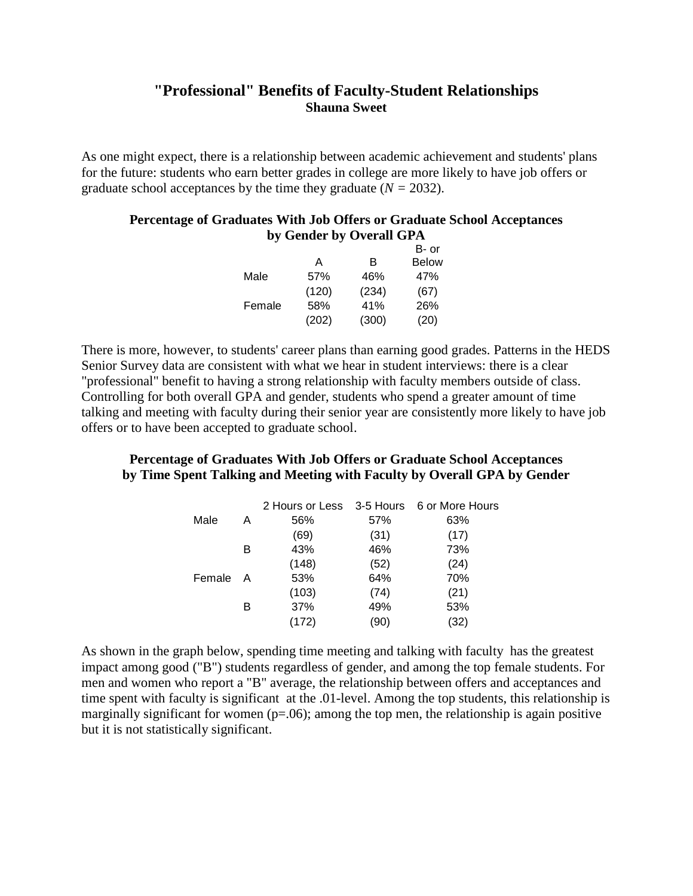## **"Professional" Benefits of Faculty-Student Relationships Shauna Sweet**

As one might expect, there is a relationship between academic achievement and students' plans for the future: students who earn better grades in college are more likely to have job offers or graduate school acceptances by the time they graduate (*N =* 2032).

## **Percentage of Graduates With Job Offers or Graduate School Acceptances by Gender by Overall GPA**

|        |       |       | B- or        |
|--------|-------|-------|--------------|
|        | А     | B.    | <b>Below</b> |
| Male   | 57%   | 46%   | 47%          |
|        | (120) | (234) | (67)         |
| Female | 58%   | 41%   | 26%          |
|        | (202) | (300) | (20)         |

There is more, however, to students' career plans than earning good grades. Patterns in the HEDS Senior Survey data are consistent with what we hear in student interviews: there is a clear "professional" benefit to having a strong relationship with faculty members outside of class. Controlling for both overall GPA and gender, students who spend a greater amount of time talking and meeting with faculty during their senior year are consistently more likely to have job offers or to have been accepted to graduate school.

## **Percentage of Graduates With Job Offers or Graduate School Acceptances by Time Spent Talking and Meeting with Faculty by Overall GPA by Gender**

|        |   |       |      | 2 Hours or Less 3-5 Hours 6 or More Hours |
|--------|---|-------|------|-------------------------------------------|
| Male   | А | 56%   | 57%  | 63%                                       |
|        |   | (69)  | (31) | (17)                                      |
|        | в | 43%   | 46%  | 73%                                       |
|        |   | (148) | (52) | (24)                                      |
| Female | A | 53%   | 64%  | 70%                                       |
|        |   | (103) | (74) | (21)                                      |
|        | в | 37%   | 49%  | 53%                                       |
|        |   | (172) | '90) | (32)                                      |
|        |   |       |      |                                           |

As shown in the graph below, spending time meeting and talking with faculty has the greatest impact among good ("B") students regardless of gender, and among the top female students. For men and women who report a "B" average, the relationship between offers and acceptances and time spent with faculty is significant at the .01-level. Among the top students, this relationship is marginally significant for women  $(p=0.06)$ ; among the top men, the relationship is again positive but it is not statistically significant.